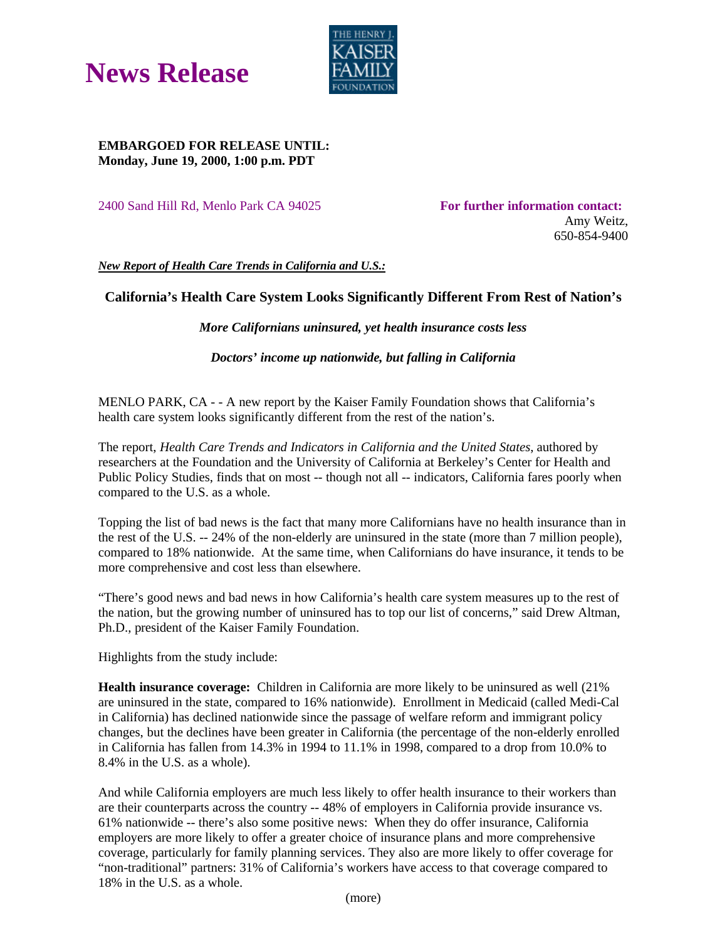



## **EMBARGOED FOR RELEASE UNTIL: Monday, June 19, 2000, 1:00 p.m. PDT**

2400 Sand Hill Rd, Menlo Park CA 94025 **For further information contact:** 

Amy Weitz, 650-854-9400

*New Report of Health Care Trends in California and U.S.:*

## **California's Health Care System Looks Significantly Different From Rest of Nation's**

*More Californians uninsured, yet health insurance costs less*

*Doctors' income up nationwide, but falling in California*

MENLO PARK, CA - - A new report by the Kaiser Family Foundation shows that California's health care system looks significantly different from the rest of the nation's.

The report, *Health Care Trends and Indicators in California and the United States*, authored by researchers at the Foundation and the University of California at Berkeley's Center for Health and Public Policy Studies, finds that on most -- though not all -- indicators, California fares poorly when compared to the U.S. as a whole.

Topping the list of bad news is the fact that many more Californians have no health insurance than in the rest of the U.S. -- 24% of the non-elderly are uninsured in the state (more than 7 million people), compared to 18% nationwide. At the same time, when Californians do have insurance, it tends to be more comprehensive and cost less than elsewhere.

"There's good news and bad news in how California's health care system measures up to the rest of the nation, but the growing number of uninsured has to top our list of concerns," said Drew Altman, Ph.D., president of the Kaiser Family Foundation.

Highlights from the study include:

**Health insurance coverage:** Children in California are more likely to be uninsured as well (21% are uninsured in the state, compared to 16% nationwide). Enrollment in Medicaid (called Medi-Cal in California) has declined nationwide since the passage of welfare reform and immigrant policy changes, but the declines have been greater in California (the percentage of the non-elderly enrolled in California has fallen from 14.3% in 1994 to 11.1% in 1998, compared to a drop from 10.0% to 8.4% in the U.S. as a whole).

And while California employers are much less likely to offer health insurance to their workers than are their counterparts across the country -- 48% of employers in California provide insurance vs. 61% nationwide -- there's also some positive news: When they do offer insurance, California employers are more likely to offer a greater choice of insurance plans and more comprehensive coverage, particularly for family planning services. They also are more likely to offer coverage for "non-traditional" partners: 31% of California's workers have access to that coverage compared to 18% in the U.S. as a whole.